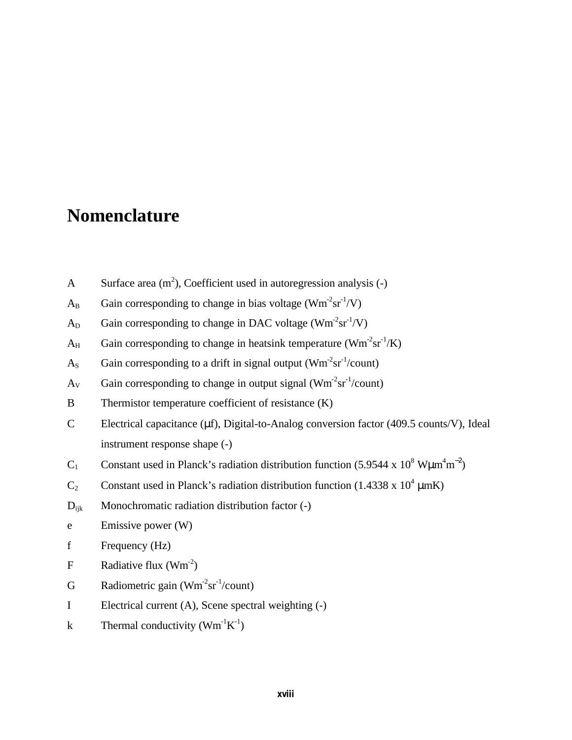## **Nomenclature**

- A Surface area  $(m^2)$ , Coefficient used in autoregression analysis (-)
- $A_B$  Gain corresponding to change in bias voltage (Wm<sup>-2</sup>sr<sup>-1</sup>/V)
- $A_D$  Gain corresponding to change in DAC voltage (Wm<sup>-2</sup>sr<sup>-1</sup>/V)
- $A_H$  Gain corresponding to change in heatsink temperature (Wm<sup>-2</sup>sr<sup>-1</sup>/K)
- $A_s$  Gain corresponding to a drift in signal output (Wm<sup>-2</sup>sr<sup>-1</sup>/count)
- $A_V$  Gain corresponding to change in output signal (Wm<sup>-2</sup>sr<sup>-1</sup>/count)
- B Thermistor temperature coefficient of resistance (K)
- C Electrical capacitance (μf), Digital-to-Analog conversion factor (409.5 counts/V), Ideal instrument response shape (-)
- C<sub>1</sub> Constant used in Planck's radiation distribution function (5.9544 x 10<sup>8</sup> W $\mu$ m<sup>4</sup>m<sup>-2</sup>)
- C<sub>2</sub> Constant used in Planck's radiation distribution function (1.4338 x 10<sup>4</sup>  $\mu$ mK)
- D<sub>ijk</sub> Monochromatic radiation distribution factor (-)
- e Emissive power (W)
- f Frequency (Hz)
- F Radiative flux  $(Wm^{-2})$
- G Radiometric gain  $(\text{Wm}^2 \text{sr}^1/\text{count})$
- I Electrical current (A), Scene spectral weighting (-)
- k Thermal conductivity  $(Wm^{-1}K^{-1})$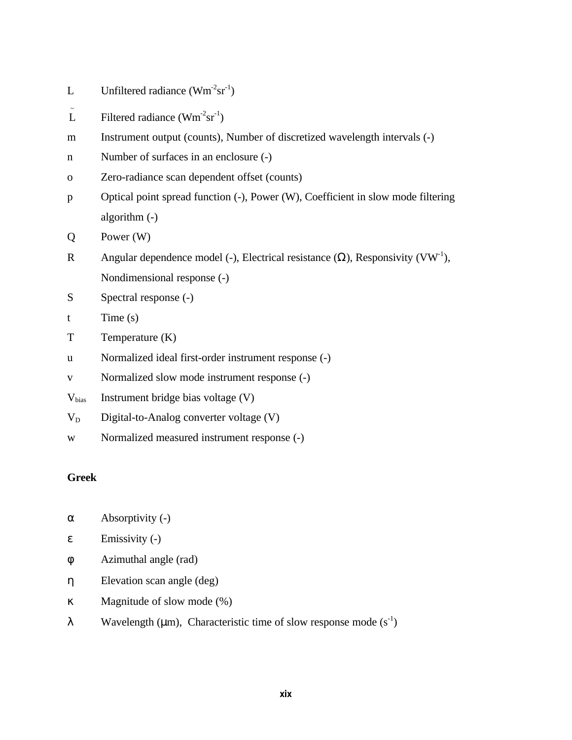- L Unfiltered radiance  $(\text{Wm}^2 \text{sr}^1)$
- $\tilde{L}$ Filtered radiance  $(\text{Wm}^2 \text{sr}^1)$
- m Instrument output (counts), Number of discretized wavelength intervals (-)
- n Number of surfaces in an enclosure (-)
- o Zero-radiance scan dependent offset (counts)
- p Optical point spread function (-), Power (W), Coefficient in slow mode filtering algorithm (-)
- Q Power (W)
- R Angular dependence model (-), Electrical resistance  $(\Omega)$ , Responsivity (VW<sup>-1</sup>), Nondimensional response (-)
- S Spectral response  $(-)$
- t Time (s)
- T Temperature (K)
- u Normalized ideal first-order instrument response (-)
- v Normalized slow mode instrument response (-)
- Vbias Instrument bridge bias voltage (V)
- $V_D$  Digital-to-Analog converter voltage (V)
- w Normalized measured instrument response (-)

## **Greek**

- $\alpha$  Absorptivity (-)
- $\epsilon$  Emissivity (-)
- φ Azimuthal angle (rad)
- η Elevation scan angle (deg)
- κ Magnitude of slow mode (%)
- λ Wavelength (μm), Characteristic time of slow response mode  $(s<sup>-1</sup>)$